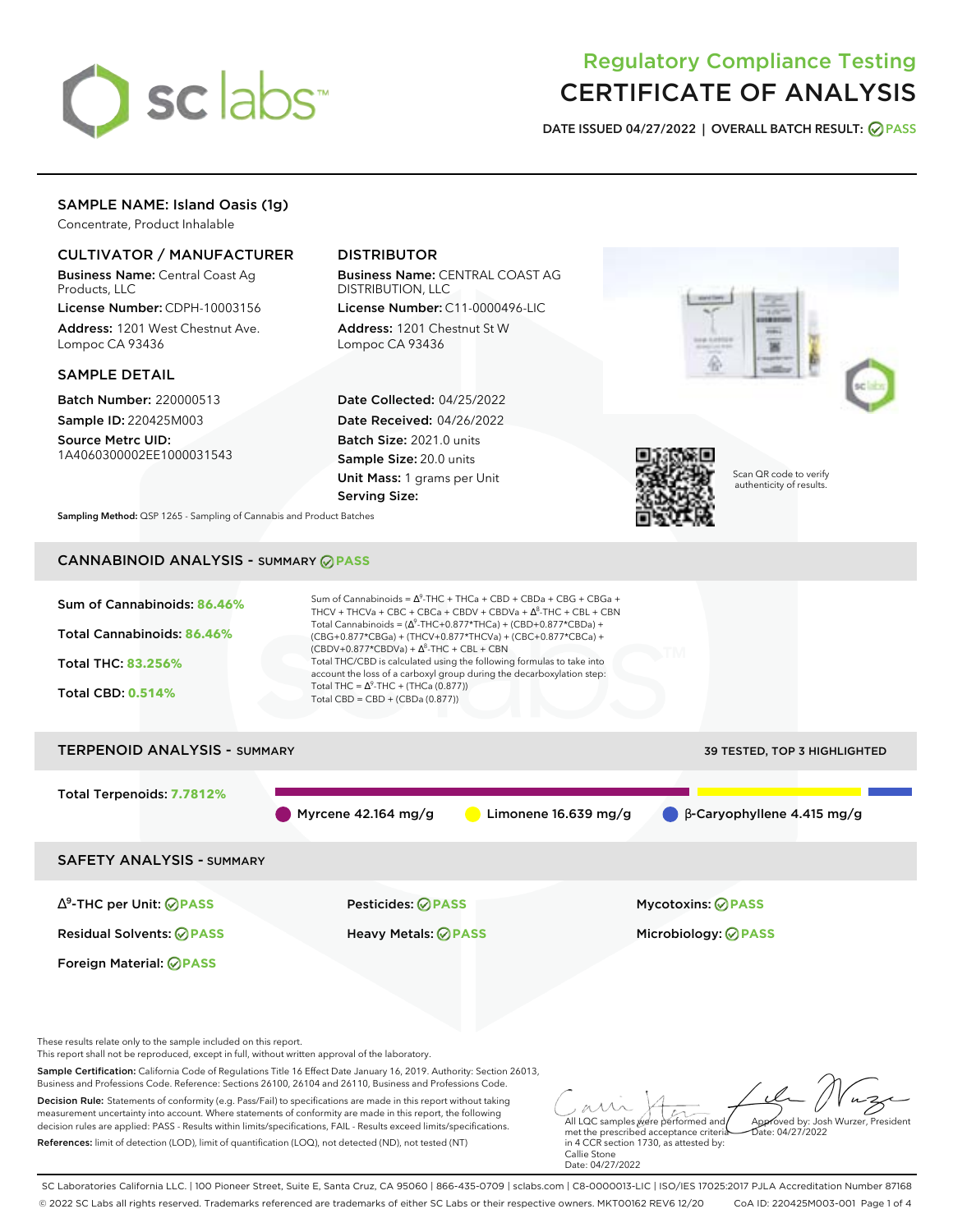

# Regulatory Compliance Testing CERTIFICATE OF ANALYSIS

**DATE ISSUED 04/27/2022 | OVERALL BATCH RESULT: PASS**

# SAMPLE NAME: Island Oasis (1g)

Concentrate, Product Inhalable

# CULTIVATOR / MANUFACTURER

Business Name: Central Coast Ag Products, LLC

License Number: CDPH-10003156 Address: 1201 West Chestnut Ave. Lompoc CA 93436

### SAMPLE DETAIL

Batch Number: 220000513 Sample ID: 220425M003 Source Metrc UID:

1A4060300002EE1000031543

# DISTRIBUTOR

Business Name: CENTRAL COAST AG DISTRIBUTION, LLC

License Number: C11-0000496-LIC Address: 1201 Chestnut St W Lompoc CA 93436

Date Collected: 04/25/2022 Date Received: 04/26/2022 Batch Size: 2021.0 units Sample Size: 20.0 units Unit Mass: 1 grams per Unit Serving Size:



Scan QR code to verify authenticity of results.

**Sampling Method:** QSP 1265 - Sampling of Cannabis and Product Batches

# CANNABINOID ANALYSIS - SUMMARY **PASS**



Sample Certification: California Code of Regulations Title 16 Effect Date January 16, 2019. Authority: Section 26013, Business and Professions Code. Reference: Sections 26100, 26104 and 26110, Business and Professions Code. Decision Rule: Statements of conformity (e.g. Pass/Fail) to specifications are made in this report without taking

measurement uncertainty into account. Where statements of conformity are made in this report, the following decision rules are applied: PASS - Results within limits/specifications, FAIL - Results exceed limits/specifications. References: limit of detection (LOD), limit of quantification (LOQ), not detected (ND), not tested (NT)

All LQC samples were performed and met the prescribed acceptance criteria Approved by: Josh Wurzer, President  $hat: 04/27/2022$ 

in 4 CCR section 1730, as attested by: Callie Stone Date: 04/27/2022

SC Laboratories California LLC. | 100 Pioneer Street, Suite E, Santa Cruz, CA 95060 | 866-435-0709 | sclabs.com | C8-0000013-LIC | ISO/IES 17025:2017 PJLA Accreditation Number 87168 © 2022 SC Labs all rights reserved. Trademarks referenced are trademarks of either SC Labs or their respective owners. MKT00162 REV6 12/20 CoA ID: 220425M003-001 Page 1 of 4